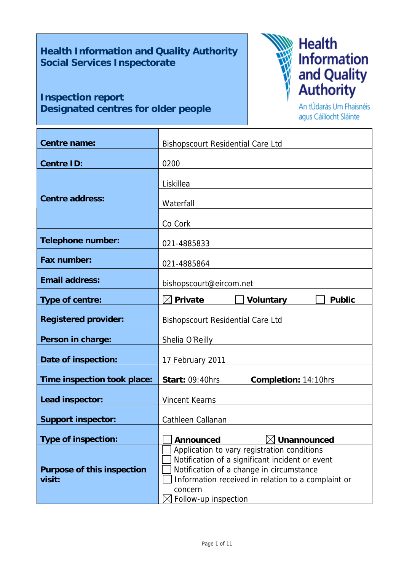# **Health Information and Quality Authority Social Services Inspectorate**

# **Inspection report Designated centres for older people**



An tÚdarás Um Fhaisnéis agus Cáilíocht Sláinte

| <b>Centre name:</b>                         | <b>Bishopscourt Residential Care Ltd</b>                                                                                                                                                                                            |  |  |  |  |
|---------------------------------------------|-------------------------------------------------------------------------------------------------------------------------------------------------------------------------------------------------------------------------------------|--|--|--|--|
| <b>Centre ID:</b>                           | 0200                                                                                                                                                                                                                                |  |  |  |  |
| <b>Centre address:</b>                      | Liskillea<br>Waterfall                                                                                                                                                                                                              |  |  |  |  |
| <b>Telephone number:</b>                    | Co Cork<br>021-4885833                                                                                                                                                                                                              |  |  |  |  |
| <b>Fax number:</b>                          | 021-4885864                                                                                                                                                                                                                         |  |  |  |  |
| <b>Email address:</b>                       | bishopscourt@eircom.net                                                                                                                                                                                                             |  |  |  |  |
| Type of centre:                             | $\boxtimes$ Private<br>Voluntary<br><b>Public</b>                                                                                                                                                                                   |  |  |  |  |
| <b>Registered provider:</b>                 | <b>Bishopscourt Residential Care Ltd</b>                                                                                                                                                                                            |  |  |  |  |
| Person in charge:                           | Shelia O'Reilly                                                                                                                                                                                                                     |  |  |  |  |
| Date of inspection:                         | 17 February 2011                                                                                                                                                                                                                    |  |  |  |  |
| Time inspection took place:                 | <b>Start: 09:40hrs</b><br><b>Completion: 14:10hrs</b>                                                                                                                                                                               |  |  |  |  |
| Lead inspector:                             | <b>Vincent Kearns</b>                                                                                                                                                                                                               |  |  |  |  |
| <b>Support inspector:</b>                   | Cathleen Callanan                                                                                                                                                                                                                   |  |  |  |  |
| <b>Type of inspection:</b>                  | Unannounced<br><b>Announced</b>                                                                                                                                                                                                     |  |  |  |  |
| <b>Purpose of this inspection</b><br>visit: | Application to vary registration conditions<br>Notification of a significant incident or event<br>Notification of a change in circumstance<br>Information received in relation to a complaint or<br>concern<br>Follow-up inspection |  |  |  |  |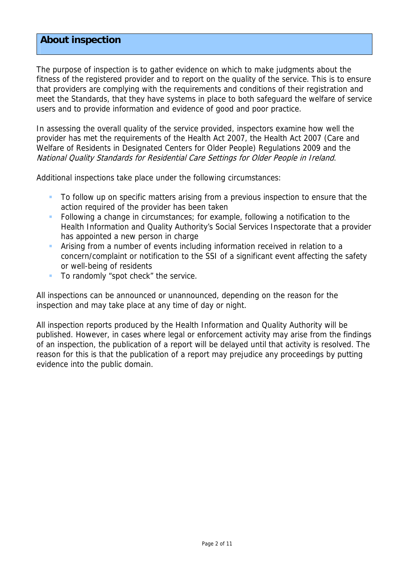## **About inspection**

The purpose of inspection is to gather evidence on which to make judgments about the fitness of the registered provider and to report on the quality of the service. This is to ensure that providers are complying with the requirements and conditions of their registration and meet the Standards, that they have systems in place to both safeguard the welfare of service users and to provide information and evidence of good and poor practice.

In assessing the overall quality of the service provided, inspectors examine how well the provider has met the requirements of the Health Act 2007, the Health Act 2007 (Care and Welfare of Residents in Designated Centers for Older People) Regulations 2009 and the National Quality Standards for Residential Care Settings for Older People in Ireland.

Additional inspections take place under the following circumstances:

- To follow up on specific matters arising from a previous inspection to ensure that the action required of the provider has been taken
- Following a change in circumstances; for example, following a notification to the Health Information and Quality Authority's Social Services Inspectorate that a provider has appointed a new person in charge
- Arising from a number of events including information received in relation to a concern/complaint or notification to the SSI of a significant event affecting the safety or well-being of residents
- To randomly "spot check" the service.

All inspections can be announced or unannounced, depending on the reason for the inspection and may take place at any time of day or night.

All inspection reports produced by the Health Information and Quality Authority will be published. However, in cases where legal or enforcement activity may arise from the findings of an inspection, the publication of a report will be delayed until that activity is resolved. The reason for this is that the publication of a report may prejudice any proceedings by putting evidence into the public domain.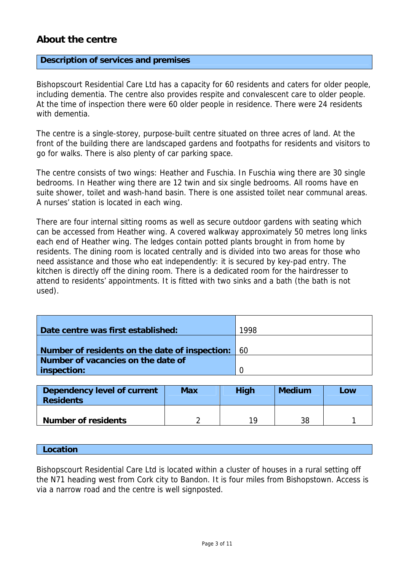## **About the centre**

#### **Description of services and premises**

Bishopscourt Residential Care Ltd has a capacity for 60 residents and caters for older people, including dementia. The centre also provides respite and convalescent care to older people. At the time of inspection there were 60 older people in residence. There were 24 residents with dementia.

The centre is a single-storey, purpose-built centre situated on three acres of land. At the front of the building there are landscaped gardens and footpaths for residents and visitors to go for walks. There is also plenty of car parking space.

The centre consists of two wings: Heather and Fuschia. In Fuschia wing there are 30 single bedrooms. In Heather wing there are 12 twin and six single bedrooms. All rooms have en suite shower, toilet and wash-hand basin. There is one assisted toilet near communal areas. A nurses' station is located in each wing.

There are four internal sitting rooms as well as secure outdoor gardens with seating which can be accessed from Heather wing. A covered walkway approximately 50 metres long links each end of Heather wing. The ledges contain potted plants brought in from home by residents. The dining room is located centrally and is divided into two areas for those who need assistance and those who eat independently: it is secured by key-pad entry. The kitchen is directly off the dining room. There is a dedicated room for the hairdresser to attend to residents' appointments. It is fitted with two sinks and a bath (the bath is not used).

| Date centre was first established:             | 1998 |
|------------------------------------------------|------|
|                                                |      |
| Number of residents on the date of inspection: | -60  |
| Number of vacancies on the date of             |      |
| inspection:                                    |      |

| Dependency level of current<br><b>Residents</b> | <b>Max</b> | <b>High</b> | <b>Medium</b> | Low |
|-------------------------------------------------|------------|-------------|---------------|-----|
| <b>Number of residents</b>                      |            | 19          | 38            |     |

#### **Location**

Bishopscourt Residential Care Ltd is located within a cluster of houses in a rural setting off the N71 heading west from Cork city to Bandon. It is four miles from Bishopstown. Access is via a narrow road and the centre is well signposted.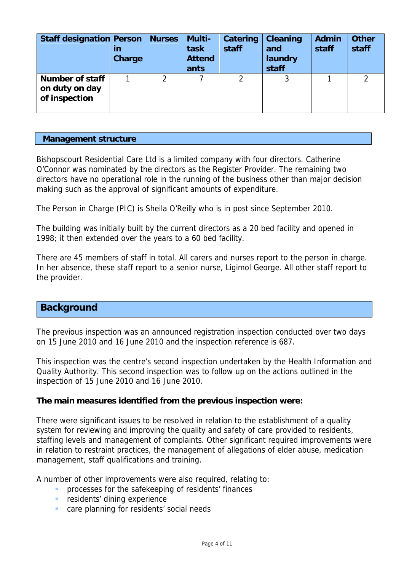| <b>Staff designation Person</b>                           | in<br>Charge | <b>Nurses</b> | Multi-<br>task<br><b>Attend</b><br>ants | Catering<br>staff | <b>Cleaning</b><br>and<br>laundry<br>staff | <b>Admin</b><br>staff | <b>Other</b><br>staff |
|-----------------------------------------------------------|--------------|---------------|-----------------------------------------|-------------------|--------------------------------------------|-----------------------|-----------------------|
| <b>Number of staff</b><br>on duty on day<br>of inspection |              |               |                                         |                   |                                            |                       |                       |

#### **Management structure**

Bishopscourt Residential Care Ltd is a limited company with four directors. Catherine O'Connor was nominated by the directors as the Register Provider. The remaining two directors have no operational role in the running of the business other than major decision making such as the approval of significant amounts of expenditure.

The Person in Charge (PIC) is Sheila O'Reilly who is in post since September 2010.

The building was initially built by the current directors as a 20 bed facility and opened in 1998; it then extended over the years to a 60 bed facility.

There are 45 members of staff in total. All carers and nurses report to the person in charge. In her absence, these staff report to a senior nurse, Ligimol George. All other staff report to the provider.

## **Background**

The previous inspection was an announced registration inspection conducted over two days on 15 June 2010 and 16 June 2010 and the inspection reference is 687.

This inspection was the centre's second inspection undertaken by the Health Information and Quality Authority. This second inspection was to follow up on the actions outlined in the inspection of 15 June 2010 and 16 June 2010.

#### **The main measures identified from the previous inspection were:**

There were significant issues to be resolved in relation to the establishment of a quality system for reviewing and improving the quality and safety of care provided to residents, staffing levels and management of complaints. Other significant required improvements were in relation to restraint practices, the management of allegations of elder abuse, medication management, staff qualifications and training.

A number of other improvements were also required, relating to:

- **PEDFIDENT** processes for the safekeeping of residents' finances
- **F** residents' dining experience
- care planning for residents' social needs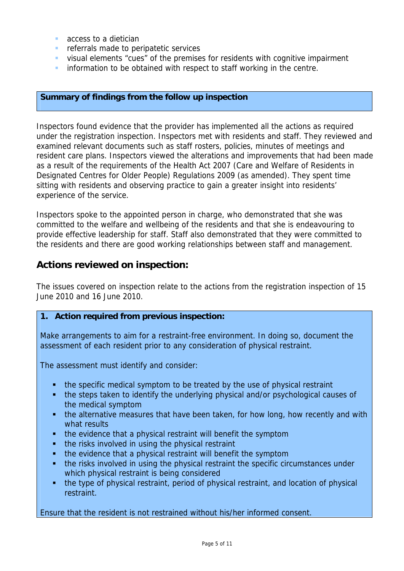- **access to a dietician**
- **F** referrals made to peripatetic services
- visual elements "cues" of the premises for residents with cognitive impairment
- **information to be obtained with respect to staff working in the centre.**

## **Summary of findings from the follow up inspection**

Inspectors found evidence that the provider has implemented all the actions as required under the registration inspection. Inspectors met with residents and staff. They reviewed and examined relevant documents such as staff rosters, policies, minutes of meetings and resident care plans. Inspectors viewed the alterations and improvements that had been made as a result of the requirements of the Health Act 2007 (Care and Welfare of Residents in Designated Centres for Older People) Regulations 2009 (as amended). They spent time sitting with residents and observing practice to gain a greater insight into residents' experience of the service.

Inspectors spoke to the appointed person in charge, who demonstrated that she was committed to the welfare and wellbeing of the residents and that she is endeavouring to provide effective leadership for staff. Staff also demonstrated that they were committed to the residents and there are good working relationships between staff and management.

## **Actions reviewed on inspection:**

The issues covered on inspection relate to the actions from the registration inspection of 15 June 2010 and 16 June 2010.

## **1. Action required from previous inspection:**

Make arrangements to aim for a restraint-free environment. In doing so, document the assessment of each resident prior to any consideration of physical restraint.

The assessment must identify and consider:

- the specific medical symptom to be treated by the use of physical restraint
- the steps taken to identify the underlying physical and/or psychological causes of the medical symptom
- the alternative measures that have been taken, for how long, how recently and with what results
- the evidence that a physical restraint will benefit the symptom
- the risks involved in using the physical restraint
- the evidence that a physical restraint will benefit the symptom
- the risks involved in using the physical restraint the specific circumstances under which physical restraint is being considered
- the type of physical restraint, period of physical restraint, and location of physical restraint.

Ensure that the resident is not restrained without his/her informed consent.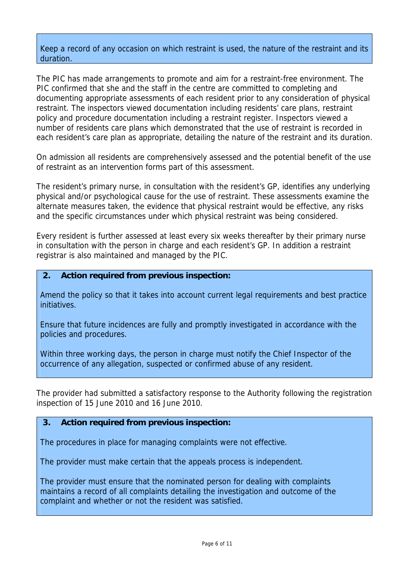## Keep a record of any occasion on which restraint is used, the nature of the restraint and its duration.

The PIC has made arrangements to promote and aim for a restraint-free environment. The PIC confirmed that she and the staff in the centre are committed to completing and documenting appropriate assessments of each resident prior to any consideration of physical restraint. The inspectors viewed documentation including residents' care plans, restraint policy and procedure documentation including a restraint register. Inspectors viewed a number of residents care plans which demonstrated that the use of restraint is recorded in each resident's care plan as appropriate, detailing the nature of the restraint and its duration.

On admission all residents are comprehensively assessed and the potential benefit of the use of restraint as an intervention forms part of this assessment.

The resident's primary nurse, in consultation with the resident's GP, identifies any underlying physical and/or psychological cause for the use of restraint. These assessments examine the alternate measures taken, the evidence that physical restraint would be effective, any risks and the specific circumstances under which physical restraint was being considered.

Every resident is further assessed at least every six weeks thereafter by their primary nurse in consultation with the person in charge and each resident's GP. In addition a restraint registrar is also maintained and managed by the PIC.

## **2. Action required from previous inspection:**

Amend the policy so that it takes into account current legal requirements and best practice initiatives.

Ensure that future incidences are fully and promptly investigated in accordance with the policies and procedures.

Within three working days, the person in charge must notify the Chief Inspector of the occurrence of any allegation, suspected or confirmed abuse of any resident.

The provider had submitted a satisfactory response to the Authority following the registration inspection of 15 June 2010 and 16 June 2010.

## **3. Action required from previous inspection:**

The procedures in place for managing complaints were not effective.

The provider must make certain that the appeals process is independent.

The provider must ensure that the nominated person for dealing with complaints maintains a record of all complaints detailing the investigation and outcome of the complaint and whether or not the resident was satisfied.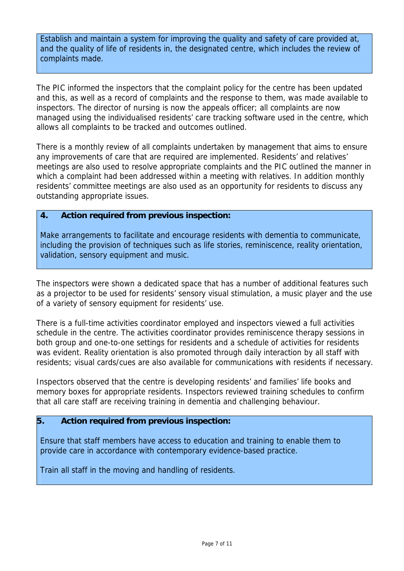Establish and maintain a system for improving the quality and safety of care provided at, and the quality of life of residents in, the designated centre, which includes the review of complaints made.

The PIC informed the inspectors that the complaint policy for the centre has been updated and this, as well as a record of complaints and the response to them, was made available to inspectors. The director of nursing is now the appeals officer; all complaints are now managed using the individualised residents' care tracking software used in the centre, which allows all complaints to be tracked and outcomes outlined.

There is a monthly review of all complaints undertaken by management that aims to ensure any improvements of care that are required are implemented. Residents' and relatives' meetings are also used to resolve appropriate complaints and the PIC outlined the manner in which a complaint had been addressed within a meeting with relatives. In addition monthly residents' committee meetings are also used as an opportunity for residents to discuss any outstanding appropriate issues.

## **4. Action required from previous inspection:**

Make arrangements to facilitate and encourage residents with dementia to communicate, including the provision of techniques such as life stories, reminiscence, reality orientation, validation, sensory equipment and music.

The inspectors were shown a dedicated space that has a number of additional features such as a projector to be used for residents' sensory visual stimulation, a music player and the use of a variety of sensory equipment for residents' use.

There is a full-time activities coordinator employed and inspectors viewed a full activities schedule in the centre. The activities coordinator provides reminiscence therapy sessions in both group and one-to-one settings for residents and a schedule of activities for residents was evident. Reality orientation is also promoted through daily interaction by all staff with residents; visual cards/cues are also available for communications with residents if necessary.

Inspectors observed that the centre is developing residents' and families' life books and memory boxes for appropriate residents. Inspectors reviewed training schedules to confirm that all care staff are receiving training in dementia and challenging behaviour.

## **5. Action required from previous inspection:**

Ensure that staff members have access to education and training to enable them to provide care in accordance with contemporary evidence-based practice.

Train all staff in the moving and handling of residents.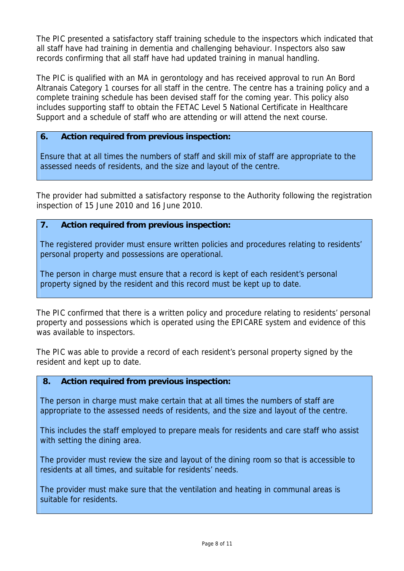The PIC presented a satisfactory staff training schedule to the inspectors which indicated that all staff have had training in dementia and challenging behaviour. Inspectors also saw records confirming that all staff have had updated training in manual handling.

The PIC is qualified with an MA in gerontology and has received approval to run An Bord Altranais Category 1 courses for all staff in the centre. The centre has a training policy and a complete training schedule has been devised staff for the coming year. This policy also includes supporting staff to obtain the FETAC Level 5 National Certificate in Healthcare Support and a schedule of staff who are attending or will attend the next course.

## **6. Action required from previous inspection:**

Ensure that at all times the numbers of staff and skill mix of staff are appropriate to the assessed needs of residents, and the size and layout of the centre.

The provider had submitted a satisfactory response to the Authority following the registration inspection of 15 June 2010 and 16 June 2010.

## **7. Action required from previous inspection:**

The registered provider must ensure written policies and procedures relating to residents' personal property and possessions are operational.

The person in charge must ensure that a record is kept of each resident's personal property signed by the resident and this record must be kept up to date.

The PIC confirmed that there is a written policy and procedure relating to residents' personal property and possessions which is operated using the EPICARE system and evidence of this was available to inspectors.

The PIC was able to provide a record of each resident's personal property signed by the resident and kept up to date.

## **8. Action required from previous inspection:**

The person in charge must make certain that at all times the numbers of staff are appropriate to the assessed needs of residents, and the size and layout of the centre.

This includes the staff employed to prepare meals for residents and care staff who assist with setting the dining area.

The provider must review the size and layout of the dining room so that is accessible to residents at all times, and suitable for residents' needs.

The provider must make sure that the ventilation and heating in communal areas is suitable for residents.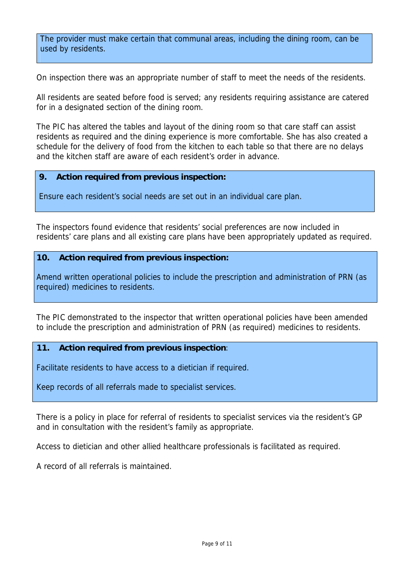The provider must make certain that communal areas, including the dining room, can be used by residents.

On inspection there was an appropriate number of staff to meet the needs of the residents.

All residents are seated before food is served; any residents requiring assistance are catered for in a designated section of the dining room.

The PIC has altered the tables and layout of the dining room so that care staff can assist residents as required and the dining experience is more comfortable. She has also created a schedule for the delivery of food from the kitchen to each table so that there are no delays and the kitchen staff are aware of each resident's order in advance.

## **9. Action required from previous inspection:**

Ensure each resident's social needs are set out in an individual care plan.

The inspectors found evidence that residents' social preferences are now included in residents' care plans and all existing care plans have been appropriately updated as required.

#### **10. Action required from previous inspection:**

Amend written operational policies to include the prescription and administration of PRN (as required) medicines to residents.

The PIC demonstrated to the inspector that written operational policies have been amended to include the prescription and administration of PRN (as required) medicines to residents.

## **11. Action required from previous inspection**:

Facilitate residents to have access to a dietician if required.

Keep records of all referrals made to specialist services.

There is a policy in place for referral of residents to specialist services via the resident's GP and in consultation with the resident's family as appropriate.

Access to dietician and other allied healthcare professionals is facilitated as required.

A record of all referrals is maintained.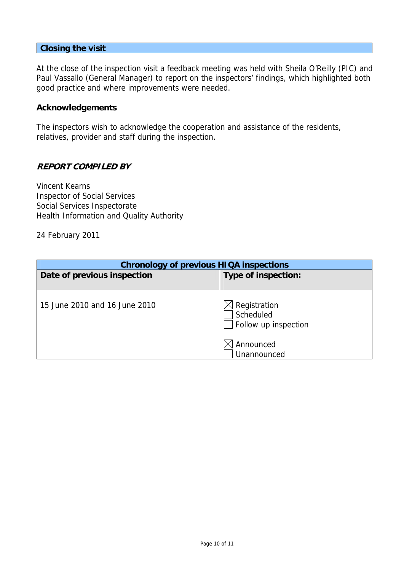#### **Closing the visit**

At the close of the inspection visit a feedback meeting was held with Sheila O'Reilly (PIC) and Paul Vassallo (General Manager) to report on the inspectors' findings, which highlighted both good practice and where improvements were needed.

#### **Acknowledgements**

The inspectors wish to acknowledge the cooperation and assistance of the residents, relatives, provider and staff during the inspection.

## **REPORT COMPILED BY**

Vincent Kearns Inspector of Social Services Social Services Inspectorate Health Information and Quality Authority

24 February 2011

| <b>Chronology of previous HIQA inspections</b> |                                                   |  |  |
|------------------------------------------------|---------------------------------------------------|--|--|
| Date of previous inspection                    | Type of inspection:                               |  |  |
|                                                |                                                   |  |  |
| 15 June 2010 and 16 June 2010                  | Registration<br>Scheduled<br>Follow up inspection |  |  |
|                                                | Announced                                         |  |  |
|                                                | Unannounced                                       |  |  |